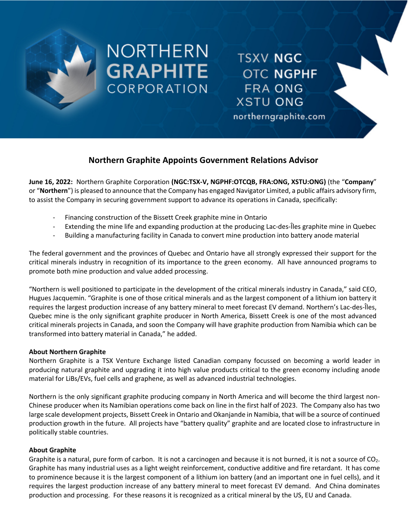

# NORTHERN **GRAPHITE CORPORATION**

**TSXV NGC OTC NGPHF FRA ONG XSTU ONG** 

northerngraphite.com

# **Northern Graphite Appoints Government Relations Advisor**

**June 16, 2022:** Northern Graphite Corporation **(NGC:TSX-V, NGPHF:OTCQB, FRA:ONG, XSTU:ONG)** (the "**Company**" or "**Northern**") is pleased to announce that the Company has engaged Navigator Limited, a public affairs advisory firm, to assist the Company in securing government support to advance its operations in Canada, specifically:

- Financing construction of the Bissett Creek graphite mine in Ontario
- Extending the mine life and expanding production at the producing Lac-des-Îles graphite mine in Quebec
- Building a manufacturing facility in Canada to convert mine production into battery anode material

The federal government and the provinces of Quebec and Ontario have all strongly expressed their support for the critical minerals industry in recognition of its importance to the green economy. All have announced programs to promote both mine production and value added processing.

"Northern is well positioned to participate in the development of the critical minerals industry in Canada," said CEO, Hugues Jacquemin. "Graphite is one of those critical minerals and as the largest component of a lithium ion battery it requires the largest production increase of any battery mineral to meet forecast EV demand. Northern's Lac-des-Îles, Quebec mine is the only significant graphite producer in North America, Bissett Creek is one of the most advanced critical minerals projects in Canada, and soon the Company will have graphite production from Namibia which can be transformed into battery material in Canada," he added.

# **About Northern Graphite**

Northern Graphite is a TSX Venture Exchange listed Canadian company focussed on becoming a world leader in producing natural graphite and upgrading it into high value products critical to the green economy including anode material for LiBs/EVs, fuel cells and graphene, as well as advanced industrial technologies.

Northern is the only significant graphite producing company in North America and will become the third largest non-Chinese producer when its Namibian operations come back on line in the first half of 2023. The Company also has two large scale development projects, Bissett Creek in Ontario and Okanjande in Namibia, that will be a source of continued production growth in the future. All projects have "battery quality" graphite and are located close to infrastructure in politically stable countries.

# **About Graphite**

Graphite is a natural, pure form of carbon. It is not a carcinogen and because it is not burned, it is not a source of  $CO<sub>2</sub>$ . Graphite has many industrial uses as a light weight reinforcement, conductive additive and fire retardant. It has come to prominence because it is the largest component of a lithium ion battery (and an important one in fuel cells), and it requires the largest production increase of any battery mineral to meet forecast EV demand. And China dominates production and processing. For these reasons it is recognized as a critical mineral by the US, EU and Canada.